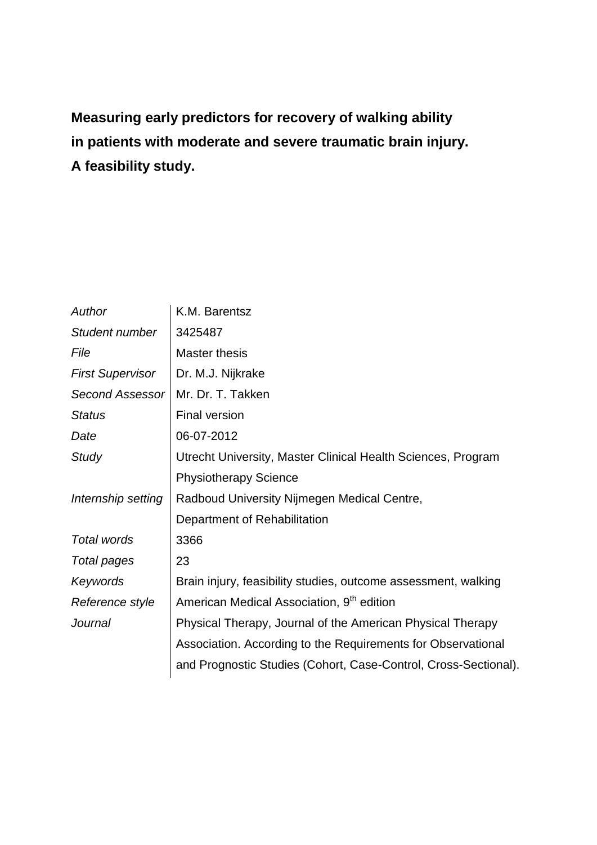**Measuring early predictors for recovery of walking ability in patients with moderate and severe traumatic brain injury. A feasibility study.**

| Author                  | K.M. Barentsz                                                   |
|-------------------------|-----------------------------------------------------------------|
| Student number          | 3425487                                                         |
| File                    | Master thesis                                                   |
| <b>First Supervisor</b> | Dr. M.J. Nijkrake                                               |
| <b>Second Assessor</b>  | Mr. Dr. T. Takken                                               |
| <b>Status</b>           | <b>Final version</b>                                            |
| Date                    | 06-07-2012                                                      |
| Study                   | Utrecht University, Master Clinical Health Sciences, Program    |
|                         | <b>Physiotherapy Science</b>                                    |
| Internship setting      | Radboud University Nijmegen Medical Centre,                     |
|                         | Department of Rehabilitation                                    |
| Total words             | 3366                                                            |
| Total pages             | 23                                                              |
| Keywords                | Brain injury, feasibility studies, outcome assessment, walking  |
| Reference style         | American Medical Association, 9 <sup>th</sup> edition           |
| Journal                 | Physical Therapy, Journal of the American Physical Therapy      |
|                         | Association. According to the Requirements for Observational    |
|                         | and Prognostic Studies (Cohort, Case-Control, Cross-Sectional). |
|                         |                                                                 |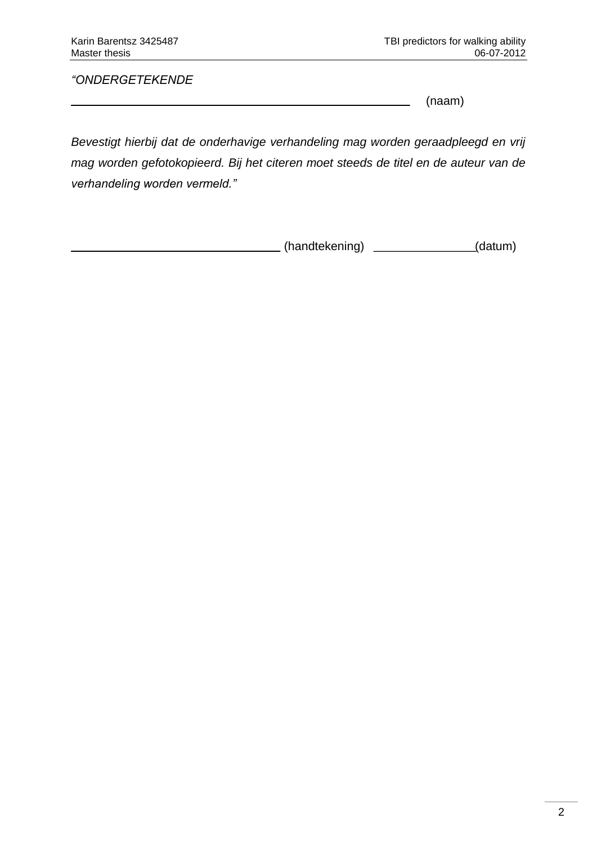*"ONDERGETEKENDE*

(naam)

*Bevestigt hierbij dat de onderhavige verhandeling mag worden geraadpleegd en vrij mag worden gefotokopieerd. Bij het citeren moet steeds de titel en de auteur van de verhandeling worden vermeld."*

(handtekening) \_\_\_\_\_\_\_\_\_\_\_\_\_\_\_\_(datum)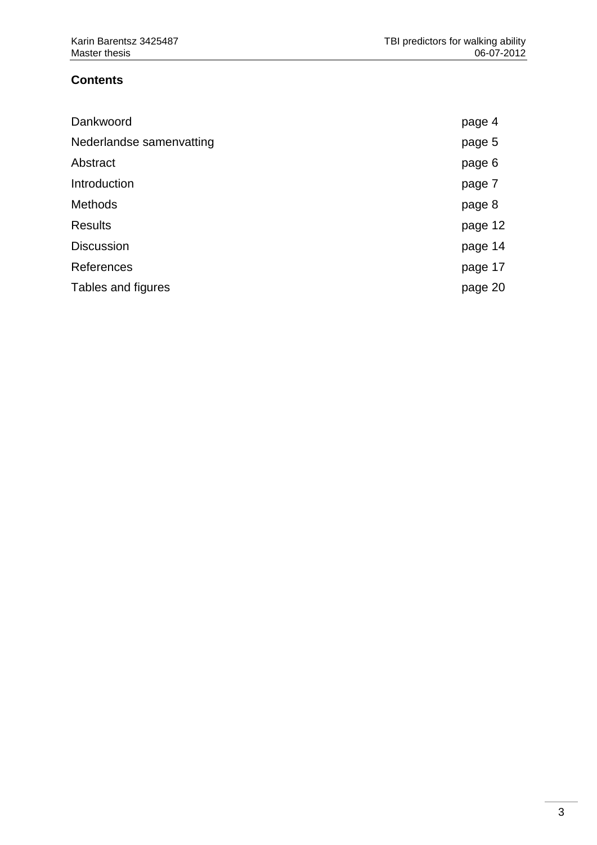# **Contents**

| Dankwoord                | page 4  |
|--------------------------|---------|
| Nederlandse samenvatting | page 5  |
| Abstract                 | page 6  |
| Introduction             | page 7  |
| <b>Methods</b>           | page 8  |
| <b>Results</b>           | page 12 |
| <b>Discussion</b>        | page 14 |
| References               | page 17 |
| Tables and figures       | page 20 |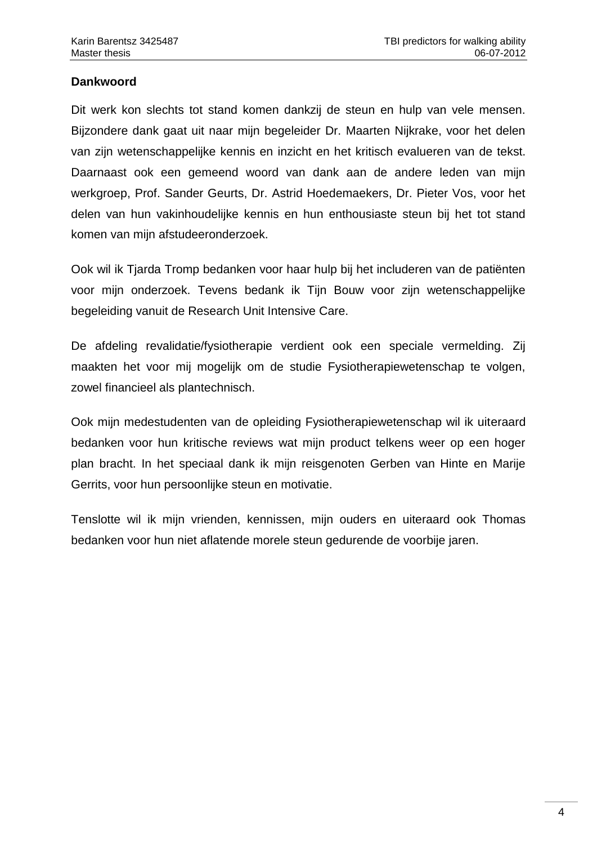### **Dankwoord**

Dit werk kon slechts tot stand komen dankzij de steun en hulp van vele mensen. Bijzondere dank gaat uit naar mijn begeleider Dr. Maarten Nijkrake, voor het delen van zijn wetenschappelijke kennis en inzicht en het kritisch evalueren van de tekst. Daarnaast ook een gemeend woord van dank aan de andere leden van mijn werkgroep, Prof. Sander Geurts, Dr. Astrid Hoedemaekers, Dr. Pieter Vos, voor het delen van hun vakinhoudelijke kennis en hun enthousiaste steun bij het tot stand komen van mijn afstudeeronderzoek.

Ook wil ik Tjarda Tromp bedanken voor haar hulp bij het includeren van de patiënten voor mijn onderzoek. Tevens bedank ik Tijn Bouw voor zijn wetenschappelijke begeleiding vanuit de Research Unit Intensive Care.

De afdeling revalidatie/fysiotherapie verdient ook een speciale vermelding. Zij maakten het voor mij mogelijk om de studie Fysiotherapiewetenschap te volgen, zowel financieel als plantechnisch.

Ook mijn medestudenten van de opleiding Fysiotherapiewetenschap wil ik uiteraard bedanken voor hun kritische reviews wat mijn product telkens weer op een hoger plan bracht. In het speciaal dank ik mijn reisgenoten Gerben van Hinte en Marije Gerrits, voor hun persoonlijke steun en motivatie.

Tenslotte wil ik mijn vrienden, kennissen, mijn ouders en uiteraard ook Thomas bedanken voor hun niet aflatende morele steun gedurende de voorbije jaren.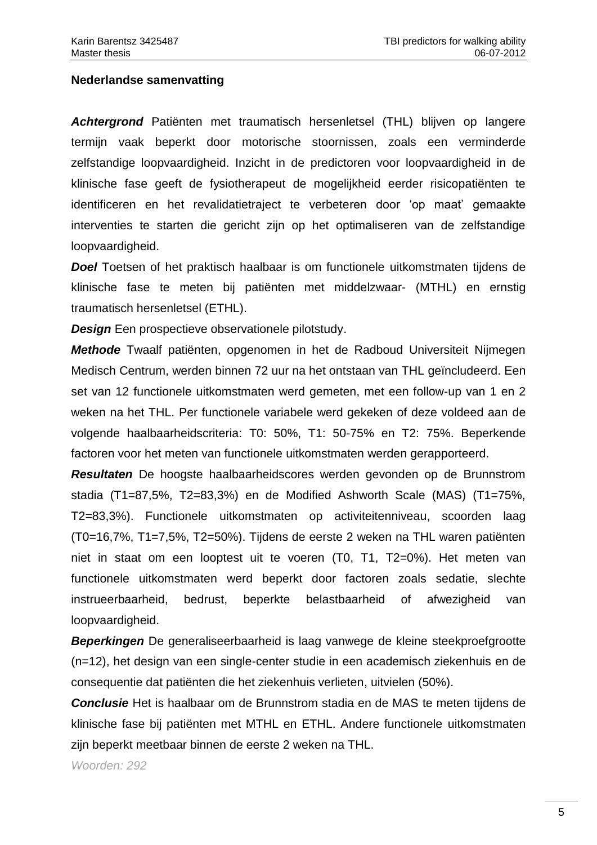#### **Nederlandse samenvatting**

*Achtergrond* Patiënten met traumatisch hersenletsel (THL) blijven op langere termijn vaak beperkt door motorische stoornissen, zoals een verminderde zelfstandige loopvaardigheid. Inzicht in de predictoren voor loopvaardigheid in de klinische fase geeft de fysiotherapeut de mogelijkheid eerder risicopatiënten te identificeren en het revalidatietraject te verbeteren door 'op maat' gemaakte interventies te starten die gericht zijn op het optimaliseren van de zelfstandige loopvaardigheid.

*Doel* Toetsen of het praktisch haalbaar is om functionele uitkomstmaten tijdens de klinische fase te meten bij patiënten met middelzwaar- (MTHL) en ernstig traumatisch hersenletsel (ETHL).

*Design* Een prospectieve observationele pilotstudy.

*Methode* Twaalf patiënten, opgenomen in het de Radboud Universiteit Nijmegen Medisch Centrum, werden binnen 72 uur na het ontstaan van THL geïncludeerd. Een set van 12 functionele uitkomstmaten werd gemeten, met een follow-up van 1 en 2 weken na het THL. Per functionele variabele werd gekeken of deze voldeed aan de volgende haalbaarheidscriteria: T0: 50%, T1: 50-75% en T2: 75%. Beperkende factoren voor het meten van functionele uitkomstmaten werden gerapporteerd.

*Resultaten* De hoogste haalbaarheidscores werden gevonden op de Brunnstrom stadia (T1=87,5%, T2=83,3%) en de Modified Ashworth Scale (MAS) (T1=75%, T2=83,3%). Functionele uitkomstmaten op activiteitenniveau, scoorden laag (T0=16,7%, T1=7,5%, T2=50%). Tijdens de eerste 2 weken na THL waren patiënten niet in staat om een looptest uit te voeren (T0, T1, T2=0%). Het meten van functionele uitkomstmaten werd beperkt door factoren zoals sedatie, slechte instrueerbaarheid, bedrust, beperkte belastbaarheid of afwezigheid van loopvaardigheid.

*Beperkingen* De generaliseerbaarheid is laag vanwege de kleine steekproefgrootte (n=12), het design van een single-center studie in een academisch ziekenhuis en de consequentie dat patiënten die het ziekenhuis verlieten, uitvielen (50%).

*Conclusie* Het is haalbaar om de Brunnstrom stadia en de MAS te meten tijdens de klinische fase bij patiënten met MTHL en ETHL. Andere functionele uitkomstmaten zijn beperkt meetbaar binnen de eerste 2 weken na THL.

*Woorden: 292*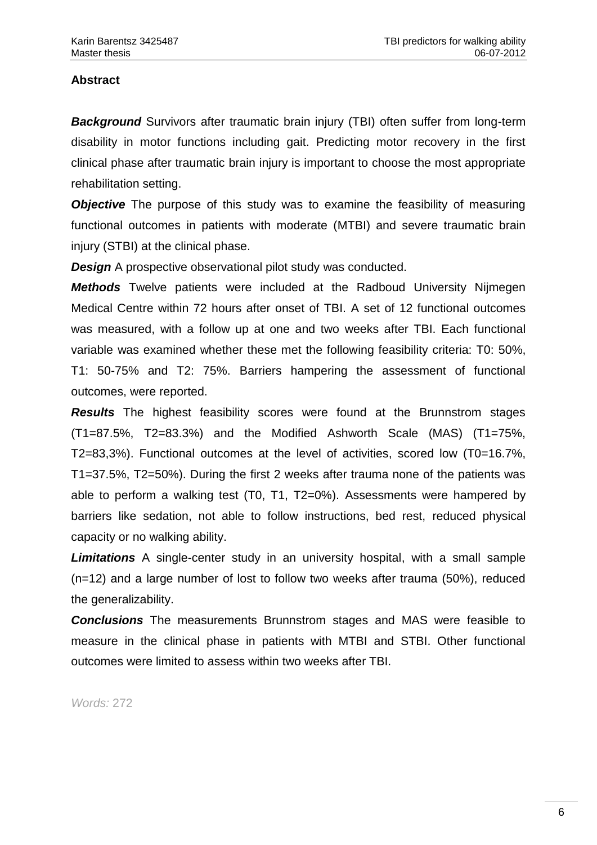# **Abstract**

*Background* Survivors after traumatic brain injury (TBI) often suffer from long-term disability in motor functions including gait. Predicting motor recovery in the first clinical phase after traumatic brain injury is important to choose the most appropriate rehabilitation setting.

*Objective* The purpose of this study was to examine the feasibility of measuring functional outcomes in patients with moderate (MTBI) and severe traumatic brain injury (STBI) at the clinical phase.

*Design* A prospective observational pilot study was conducted.

*Methods* Twelve patients were included at the Radboud University Nijmegen Medical Centre within 72 hours after onset of TBI. A set of 12 functional outcomes was measured, with a follow up at one and two weeks after TBI. Each functional variable was examined whether these met the following feasibility criteria: T0: 50%, T1: 50-75% and T2: 75%. Barriers hampering the assessment of functional outcomes, were reported.

*Results* The highest feasibility scores were found at the Brunnstrom stages (T1=87.5%, T2=83.3%) and the Modified Ashworth Scale (MAS) (T1=75%, T2=83,3%). Functional outcomes at the level of activities, scored low (T0=16.7%, T1=37.5%, T2=50%). During the first 2 weeks after trauma none of the patients was able to perform a walking test (T0, T1, T2=0%). Assessments were hampered by barriers like sedation, not able to follow instructions, bed rest, reduced physical capacity or no walking ability.

*Limitations* A single-center study in an university hospital, with a small sample (n=12) and a large number of lost to follow two weeks after trauma (50%), reduced the generalizability.

*Conclusions* The measurements Brunnstrom stages and MAS were feasible to measure in the clinical phase in patients with MTBI and STBI. Other functional outcomes were limited to assess within two weeks after TBI.

*Words:* 272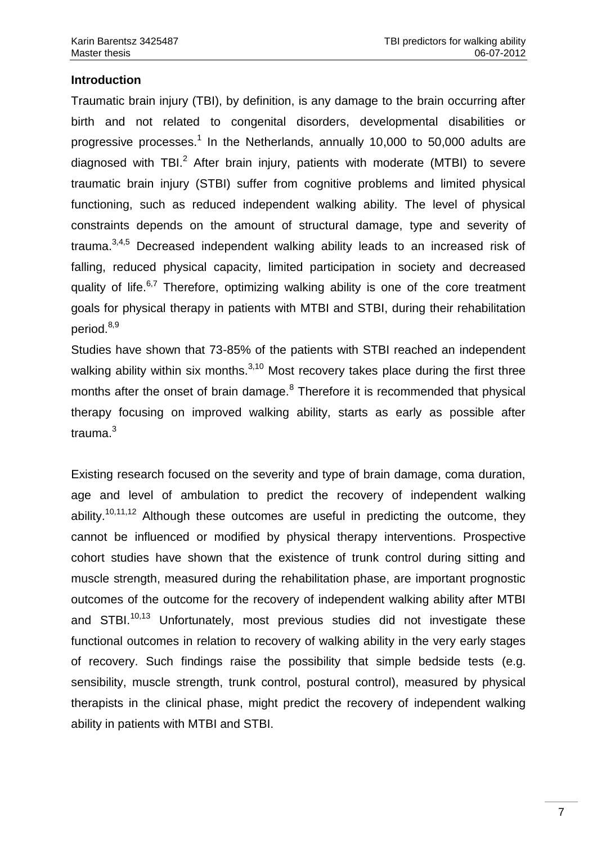### **Introduction**

Traumatic brain injury (TBI), by definition, is any damage to the brain occurring after birth and not related to congenital disorders, developmental disabilities or progressive processes.<sup>1</sup> In the Netherlands, annually 10,000 to 50,000 adults are diagnosed with TBI. $<sup>2</sup>$  After brain injury, patients with moderate (MTBI) to severe</sup> traumatic brain injury (STBI) suffer from cognitive problems and limited physical functioning, such as reduced independent walking ability. The level of physical constraints depends on the amount of structural damage, type and severity of trauma.3,4,5 Decreased independent walking ability leads to an increased risk of falling, reduced physical capacity, limited participation in society and decreased quality of life.<sup>6,7</sup> Therefore, optimizing walking ability is one of the core treatment goals for physical therapy in patients with MTBI and STBI, during their rehabilitation period.<sup>8,9</sup>

Studies have shown that 73-85% of the patients with STBI reached an independent walking ability within six months. $3,10$  Most recovery takes place during the first three months after the onset of brain damage.<sup>8</sup> Therefore it is recommended that physical therapy focusing on improved walking ability, starts as early as possible after trauma.<sup>3</sup>

Existing research focused on the severity and type of brain damage, coma duration, age and level of ambulation to predict the recovery of independent walking ability.<sup>10,11,12</sup> Although these outcomes are useful in predicting the outcome, they cannot be influenced or modified by physical therapy interventions. Prospective cohort studies have shown that the existence of trunk control during sitting and muscle strength, measured during the rehabilitation phase, are important prognostic outcomes of the outcome for the recovery of independent walking ability after MTBI and STBI.<sup>10,13</sup> Unfortunately, most previous studies did not investigate these functional outcomes in relation to recovery of walking ability in the very early stages of recovery. Such findings raise the possibility that simple bedside tests (e.g. sensibility, muscle strength, trunk control, postural control), measured by physical therapists in the clinical phase, might predict the recovery of independent walking ability in patients with MTBI and STBI.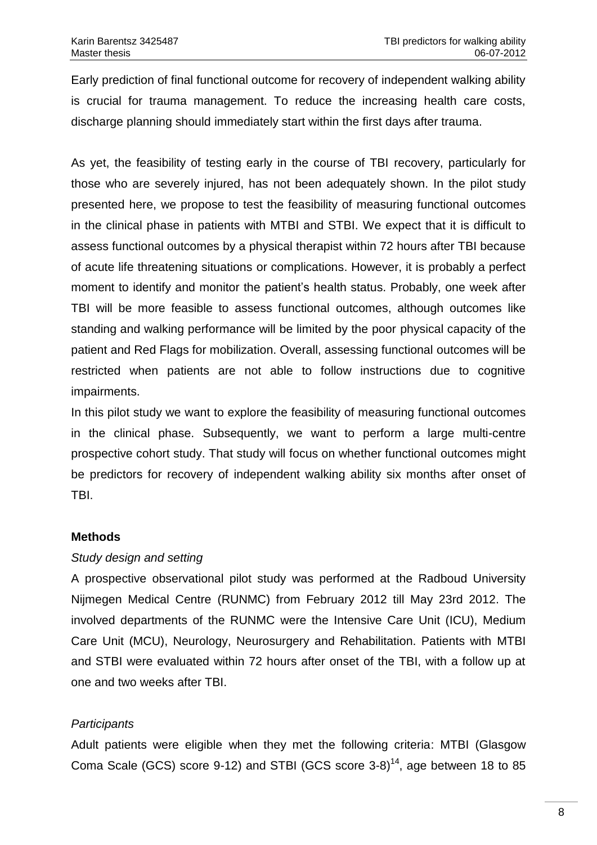Early prediction of final functional outcome for recovery of independent walking ability is crucial for trauma management. To reduce the increasing health care costs, discharge planning should immediately start within the first days after trauma.

As yet, the feasibility of testing early in the course of TBI recovery, particularly for those who are severely injured, has not been adequately shown. In the pilot study presented here, we propose to test the feasibility of measuring functional outcomes in the clinical phase in patients with MTBI and STBI. We expect that it is difficult to assess functional outcomes by a physical therapist within 72 hours after TBI because of acute life threatening situations or complications. However, it is probably a perfect moment to identify and monitor the patient's health status. Probably, one week after TBI will be more feasible to assess functional outcomes, although outcomes like standing and walking performance will be limited by the poor physical capacity of the patient and Red Flags for mobilization. Overall, assessing functional outcomes will be restricted when patients are not able to follow instructions due to cognitive impairments.

In this pilot study we want to explore the feasibility of measuring functional outcomes in the clinical phase. Subsequently, we want to perform a large multi-centre prospective cohort study. That study will focus on whether functional outcomes might be predictors for recovery of independent walking ability six months after onset of TBI.

## **Methods**

### *Study design and setting*

A prospective observational pilot study was performed at the Radboud University Nijmegen Medical Centre (RUNMC) from February 2012 till May 23rd 2012. The involved departments of the RUNMC were the Intensive Care Unit (ICU), Medium Care Unit (MCU), Neurology, Neurosurgery and Rehabilitation. Patients with MTBI and STBI were evaluated within 72 hours after onset of the TBI, with a follow up at one and two weeks after TBI.

## *Participants*

Adult patients were eligible when they met the following criteria: MTBI (Glasgow Coma Scale (GCS) score 9-12) and STBI (GCS score  $3-8$ )<sup>14</sup>, age between 18 to 85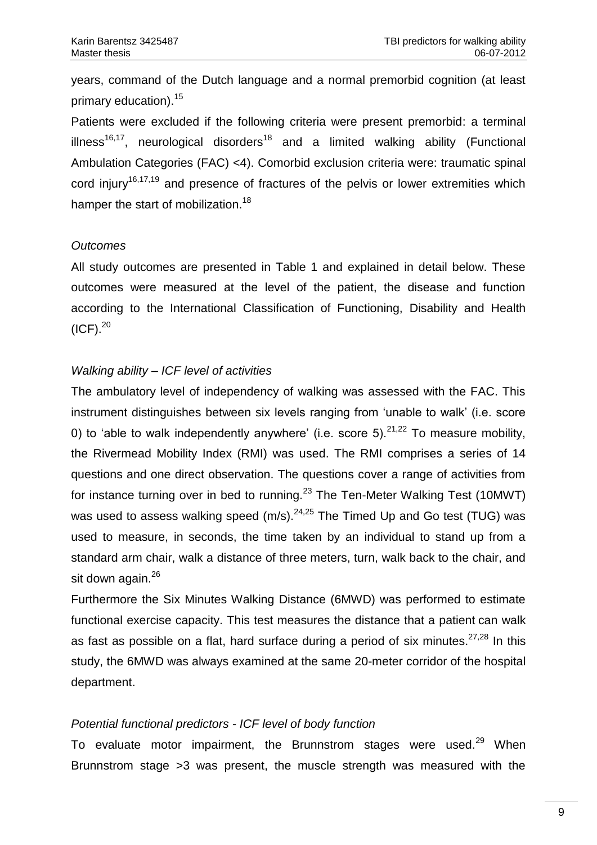years, command of the Dutch language and a normal premorbid cognition (at least primary education).<sup>15</sup>

Patients were excluded if the following criteria were present premorbid: a terminal illness<sup>16,17</sup>, neurological disorders<sup>18</sup> and a limited walking ability (Functional Ambulation Categories (FAC) <4). Comorbid exclusion criteria were: traumatic spinal cord injury<sup>16,17,19</sup> and presence of fractures of the pelvis or lower extremities which hamper the start of mobilization.<sup>18</sup>

### *Outcomes*

All study outcomes are presented in Table 1 and explained in detail below. These outcomes were measured at the level of the patient, the disease and function according to the International Classification of Functioning, Disability and Health  $(ICF).<sup>20</sup>$ 

## *Walking ability – ICF level of activities*

The ambulatory level of independency of walking was assessed with the FAC. This instrument distinguishes between six levels ranging from 'unable to walk' (i.e. score 0) to 'able to walk independently anywhere' (i.e. score 5).<sup>21,22</sup> To measure mobility, the Rivermead Mobility Index (RMI) was used. The RMI comprises a series of 14 questions and one direct observation. The questions cover a range of activities from for instance turning over in bed to running.<sup>23</sup> The Ten-Meter Walking Test (10MWT) was used to assess walking speed  $(m/s)$ .  $24,25$  The Timed Up and Go test (TUG) was used to measure, in seconds, the time taken by an individual to stand up from a standard arm chair, walk a distance of three meters, turn, walk back to the chair, and sit down again.<sup>26</sup>

Furthermore the Six Minutes Walking Distance (6MWD) was performed to estimate functional exercise capacity. This test measures the distance that a patient can walk as fast as possible on a flat, hard surface during a period of six minutes.  $27,28$  In this study, the 6MWD was always examined at the same 20-meter corridor of the hospital department.

## *Potential functional predictors - ICF level of body function*

To evaluate motor impairment, the Brunnstrom stages were used.<sup>29</sup> When Brunnstrom stage >3 was present, the muscle strength was measured with the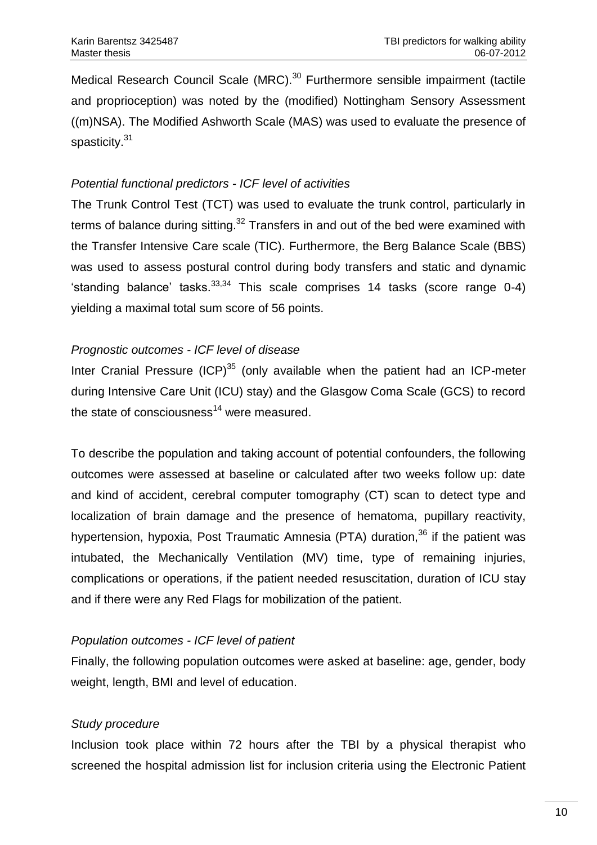Medical Research Council Scale (MRC).<sup>30</sup> Furthermore sensible impairment (tactile and proprioception) was noted by the (modified) Nottingham Sensory Assessment ((m)NSA). The Modified Ashworth Scale (MAS) was used to evaluate the presence of spasticity.<sup>31</sup>

### *Potential functional predictors - ICF level of activities*

The Trunk Control Test (TCT) was used to evaluate the trunk control, particularly in terms of balance during sitting.<sup>32</sup> Transfers in and out of the bed were examined with the Transfer Intensive Care scale (TIC). Furthermore, the Berg Balance Scale (BBS) was used to assess postural control during body transfers and static and dynamic 'standing balance' tasks. $33,34$  This scale comprises 14 tasks (score range 0-4) yielding a maximal total sum score of 56 points.

## *Prognostic outcomes - ICF level of disease*

Inter Cranial Pressure  $(ICP)^{35}$  (only available when the patient had an ICP-meter during Intensive Care Unit (ICU) stay) and the Glasgow Coma Scale (GCS) to record the state of consciousness<sup>14</sup> were measured.

To describe the population and taking account of potential confounders, the following outcomes were assessed at baseline or calculated after two weeks follow up: date and kind of accident, cerebral computer tomography (CT) scan to detect type and localization of brain damage and the presence of hematoma, pupillary reactivity, hypertension, hypoxia, Post Traumatic Amnesia (PTA) duration,  $36$  if the patient was intubated, the Mechanically Ventilation (MV) time, type of remaining injuries, complications or operations, if the patient needed resuscitation, duration of ICU stay and if there were any Red Flags for mobilization of the patient.

## *Population outcomes - ICF level of patient*

Finally, the following population outcomes were asked at baseline: age, gender, body weight, length, BMI and level of education.

## *Study procedure*

Inclusion took place within 72 hours after the TBI by a physical therapist who screened the hospital admission list for inclusion criteria using the Electronic Patient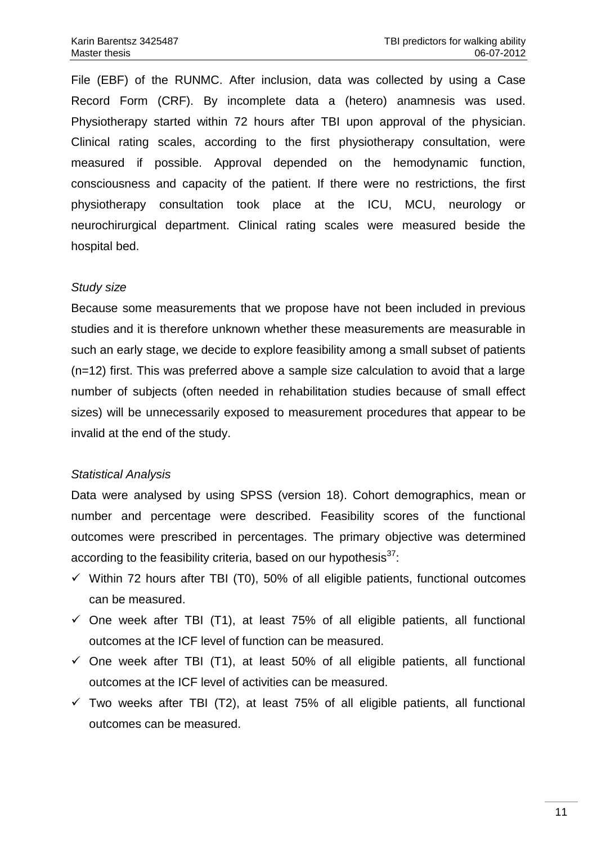File (EBF) of the RUNMC. After inclusion, data was collected by using a Case Record Form (CRF). By incomplete data a (hetero) anamnesis was used. Physiotherapy started within 72 hours after TBI upon approval of the physician. Clinical rating scales, according to the first physiotherapy consultation, were measured if possible. Approval depended on the hemodynamic function, consciousness and capacity of the patient. If there were no restrictions, the first physiotherapy consultation took place at the ICU, MCU, neurology or neurochirurgical department. Clinical rating scales were measured beside the hospital bed.

#### *Study size*

Because some measurements that we propose have not been included in previous studies and it is therefore unknown whether these measurements are measurable in such an early stage, we decide to explore feasibility among a small subset of patients (n=12) first. This was preferred above a sample size calculation to avoid that a large number of subjects (often needed in rehabilitation studies because of small effect sizes) will be unnecessarily exposed to measurement procedures that appear to be invalid at the end of the study.

### *Statistical Analysis*

Data were analysed by using SPSS (version 18). Cohort demographics, mean or number and percentage were described. Feasibility scores of the functional outcomes were prescribed in percentages. The primary objective was determined according to the feasibility criteria, based on our hypothesis $^{37}$ .

- $\checkmark$  Within 72 hours after TBI (T0), 50% of all eligible patients, functional outcomes can be measured.
- $\checkmark$  One week after TBI (T1), at least 75% of all eligible patients, all functional outcomes at the ICF level of function can be measured.
- $\checkmark$  One week after TBI (T1), at least 50% of all eligible patients, all functional outcomes at the ICF level of activities can be measured.
- $\checkmark$  Two weeks after TBI (T2), at least 75% of all eligible patients, all functional outcomes can be measured.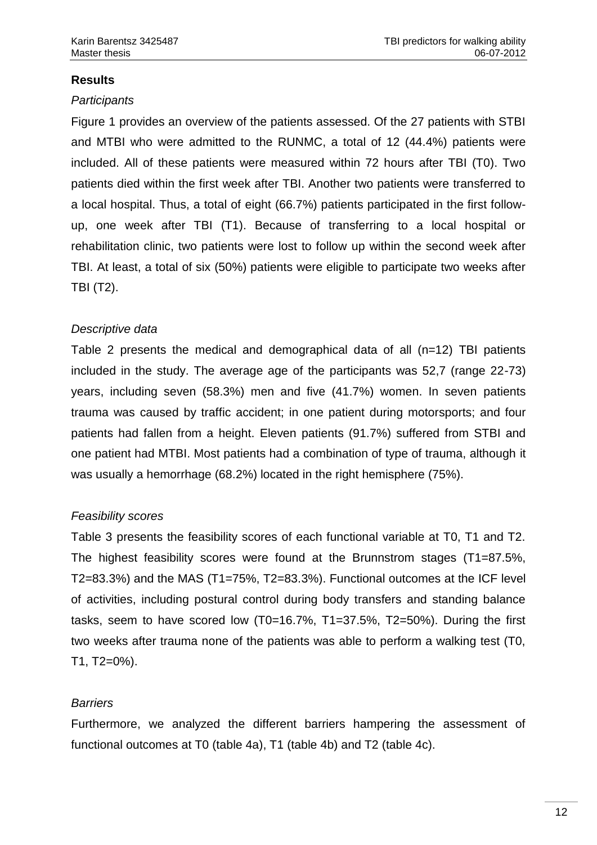# **Results**

### *Participants*

Figure 1 provides an overview of the patients assessed. Of the 27 patients with STBI and MTBI who were admitted to the RUNMC, a total of 12 (44.4%) patients were included. All of these patients were measured within 72 hours after TBI (T0). Two patients died within the first week after TBI. Another two patients were transferred to a local hospital. Thus, a total of eight (66.7%) patients participated in the first followup, one week after TBI (T1). Because of transferring to a local hospital or rehabilitation clinic, two patients were lost to follow up within the second week after TBI. At least, a total of six (50%) patients were eligible to participate two weeks after TBI (T2).

## *Descriptive data*

Table 2 presents the medical and demographical data of all (n=12) TBI patients included in the study. The average age of the participants was 52,7 (range 22-73) years, including seven (58.3%) men and five (41.7%) women. In seven patients trauma was caused by traffic accident; in one patient during motorsports; and four patients had fallen from a height. Eleven patients (91.7%) suffered from STBI and one patient had MTBI. Most patients had a combination of type of trauma, although it was usually a hemorrhage (68.2%) located in the right hemisphere (75%).

## *Feasibility scores*

Table 3 presents the feasibility scores of each functional variable at T0, T1 and T2. The highest feasibility scores were found at the Brunnstrom stages (T1=87.5%, T2=83.3%) and the MAS (T1=75%, T2=83.3%). Functional outcomes at the ICF level of activities, including postural control during body transfers and standing balance tasks, seem to have scored low (T0=16.7%, T1=37.5%, T2=50%). During the first two weeks after trauma none of the patients was able to perform a walking test (T0, T1, T2=0%).

## *Barriers*

Furthermore, we analyzed the different barriers hampering the assessment of functional outcomes at T0 (table 4a), T1 (table 4b) and T2 (table 4c).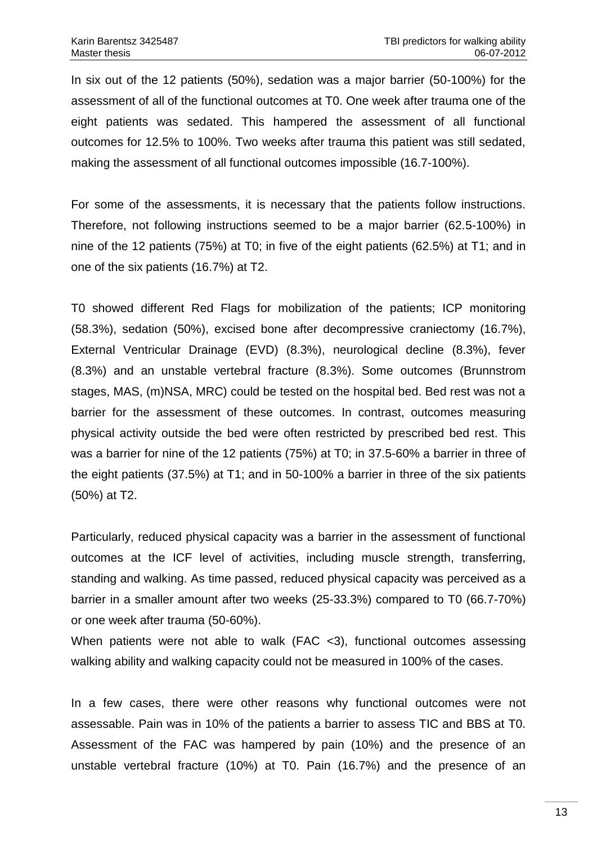In six out of the 12 patients (50%), sedation was a major barrier (50-100%) for the assessment of all of the functional outcomes at T0. One week after trauma one of the eight patients was sedated. This hampered the assessment of all functional outcomes for 12.5% to 100%. Two weeks after trauma this patient was still sedated, making the assessment of all functional outcomes impossible (16.7-100%).

For some of the assessments, it is necessary that the patients follow instructions. Therefore, not following instructions seemed to be a major barrier (62.5-100%) in nine of the 12 patients (75%) at T0; in five of the eight patients (62.5%) at T1; and in one of the six patients (16.7%) at T2.

T0 showed different Red Flags for mobilization of the patients; ICP monitoring (58.3%), sedation (50%), excised bone after decompressive craniectomy (16.7%), External Ventricular Drainage (EVD) (8.3%), neurological decline (8.3%), fever (8.3%) and an unstable vertebral fracture (8.3%). Some outcomes (Brunnstrom stages, MAS, (m)NSA, MRC) could be tested on the hospital bed. Bed rest was not a barrier for the assessment of these outcomes. In contrast, outcomes measuring physical activity outside the bed were often restricted by prescribed bed rest. This was a barrier for nine of the 12 patients (75%) at T0; in 37.5-60% a barrier in three of the eight patients (37.5%) at T1; and in 50-100% a barrier in three of the six patients (50%) at T2.

Particularly, reduced physical capacity was a barrier in the assessment of functional outcomes at the ICF level of activities, including muscle strength, transferring, standing and walking. As time passed, reduced physical capacity was perceived as a barrier in a smaller amount after two weeks (25-33.3%) compared to T0 (66.7-70%) or one week after trauma (50-60%).

When patients were not able to walk (FAC <3), functional outcomes assessing walking ability and walking capacity could not be measured in 100% of the cases.

In a few cases, there were other reasons why functional outcomes were not assessable. Pain was in 10% of the patients a barrier to assess TIC and BBS at T0. Assessment of the FAC was hampered by pain (10%) and the presence of an unstable vertebral fracture (10%) at T0. Pain (16.7%) and the presence of an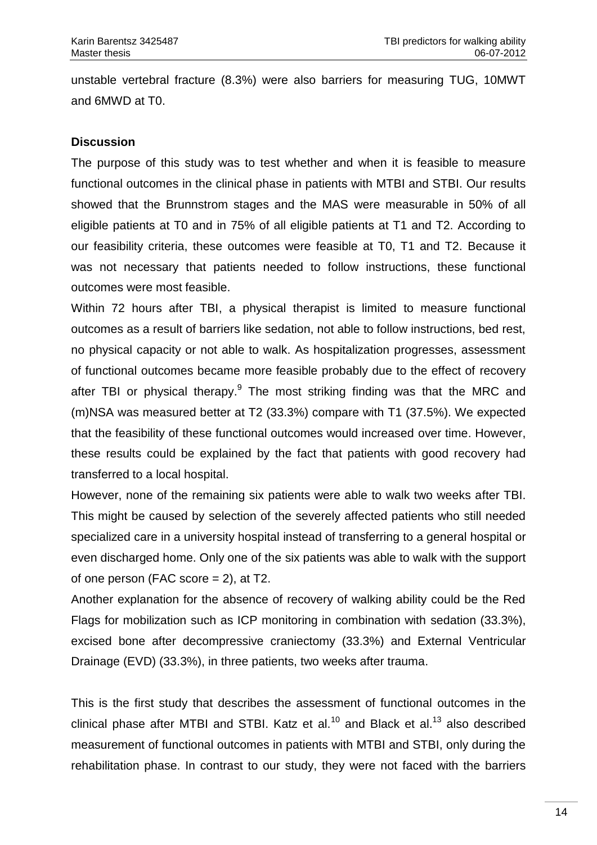unstable vertebral fracture (8.3%) were also barriers for measuring TUG, 10MWT and 6MWD at T0.

### **Discussion**

The purpose of this study was to test whether and when it is feasible to measure functional outcomes in the clinical phase in patients with MTBI and STBI. Our results showed that the Brunnstrom stages and the MAS were measurable in 50% of all eligible patients at T0 and in 75% of all eligible patients at T1 and T2. According to our feasibility criteria, these outcomes were feasible at T0, T1 and T2. Because it was not necessary that patients needed to follow instructions, these functional outcomes were most feasible.

Within 72 hours after TBI, a physical therapist is limited to measure functional outcomes as a result of barriers like sedation, not able to follow instructions, bed rest, no physical capacity or not able to walk. As hospitalization progresses, assessment of functional outcomes became more feasible probably due to the effect of recovery after TBI or physical therapy.<sup>9</sup> The most striking finding was that the MRC and (m)NSA was measured better at T2 (33.3%) compare with T1 (37.5%). We expected that the feasibility of these functional outcomes would increased over time. However, these results could be explained by the fact that patients with good recovery had transferred to a local hospital.

However, none of the remaining six patients were able to walk two weeks after TBI. This might be caused by selection of the severely affected patients who still needed specialized care in a university hospital instead of transferring to a general hospital or even discharged home. Only one of the six patients was able to walk with the support of one person (FAC score  $= 2$ ), at T2.

Another explanation for the absence of recovery of walking ability could be the Red Flags for mobilization such as ICP monitoring in combination with sedation (33.3%), excised bone after decompressive craniectomy (33.3%) and External Ventricular Drainage (EVD) (33.3%), in three patients, two weeks after trauma.

This is the first study that describes the assessment of functional outcomes in the clinical phase after MTBI and STBI. Katz et al.<sup>10</sup> and Black et al.<sup>13</sup> also described measurement of functional outcomes in patients with MTBI and STBI, only during the rehabilitation phase. In contrast to our study, they were not faced with the barriers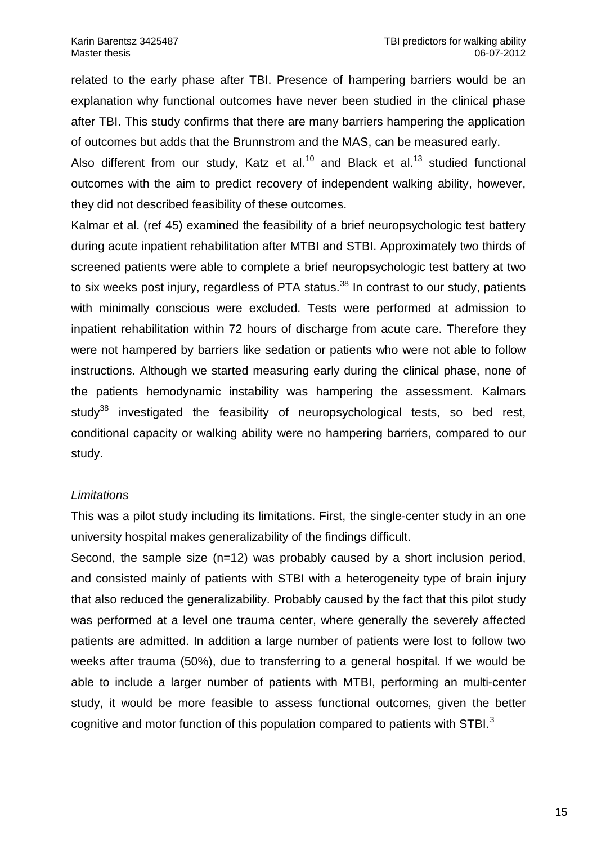related to the early phase after TBI. Presence of hampering barriers would be an explanation why functional outcomes have never been studied in the clinical phase after TBI. This study confirms that there are many barriers hampering the application of outcomes but adds that the Brunnstrom and the MAS, can be measured early.

Also different from our study, Katz et al.<sup>10</sup> and Black et al.<sup>13</sup> studied functional outcomes with the aim to predict recovery of independent walking ability, however, they did not described feasibility of these outcomes.

Kalmar et al. (ref 45) examined the feasibility of a brief neuropsychologic test battery during acute inpatient rehabilitation after MTBI and STBI. Approximately two thirds of screened patients were able to complete a brief neuropsychologic test battery at two to six weeks post injury, regardless of PTA status. $38$  In contrast to our study, patients with minimally conscious were excluded. Tests were performed at admission to inpatient rehabilitation within 72 hours of discharge from acute care. Therefore they were not hampered by barriers like sedation or patients who were not able to follow instructions. Although we started measuring early during the clinical phase, none of the patients hemodynamic instability was hampering the assessment. Kalmars study<sup>38</sup> investigated the feasibility of neuropsychological tests, so bed rest, conditional capacity or walking ability were no hampering barriers, compared to our study.

## *Limitations*

This was a pilot study including its limitations. First, the single-center study in an one university hospital makes generalizability of the findings difficult.

Second, the sample size (n=12) was probably caused by a short inclusion period, and consisted mainly of patients with STBI with a heterogeneity type of brain injury that also reduced the generalizability. Probably caused by the fact that this pilot study was performed at a level one trauma center, where generally the severely affected patients are admitted. In addition a large number of patients were lost to follow two weeks after trauma (50%), due to transferring to a general hospital. If we would be able to include a larger number of patients with MTBI, performing an multi-center study, it would be more feasible to assess functional outcomes, given the better cognitive and motor function of this population compared to patients with STBI.<sup>3</sup>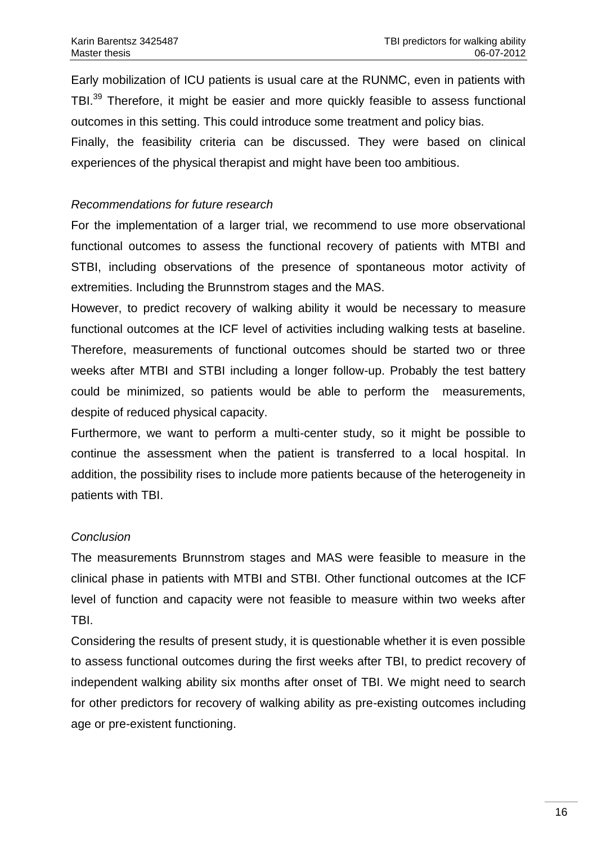Early mobilization of ICU patients is usual care at the RUNMC, even in patients with TBI.<sup>39</sup> Therefore, it might be easier and more quickly feasible to assess functional outcomes in this setting. This could introduce some treatment and policy bias.

Finally, the feasibility criteria can be discussed. They were based on clinical experiences of the physical therapist and might have been too ambitious.

### *Recommendations for future research*

For the implementation of a larger trial, we recommend to use more observational functional outcomes to assess the functional recovery of patients with MTBI and STBI, including observations of the presence of spontaneous motor activity of extremities. Including the Brunnstrom stages and the MAS.

However, to predict recovery of walking ability it would be necessary to measure functional outcomes at the ICF level of activities including walking tests at baseline. Therefore, measurements of functional outcomes should be started two or three weeks after MTBI and STBI including a longer follow-up. Probably the test battery could be minimized, so patients would be able to perform the measurements, despite of reduced physical capacity.

Furthermore, we want to perform a multi-center study, so it might be possible to continue the assessment when the patient is transferred to a local hospital. In addition, the possibility rises to include more patients because of the heterogeneity in patients with TBI.

## *Conclusion*

The measurements Brunnstrom stages and MAS were feasible to measure in the clinical phase in patients with MTBI and STBI. Other functional outcomes at the ICF level of function and capacity were not feasible to measure within two weeks after TBI.

Considering the results of present study, it is questionable whether it is even possible to assess functional outcomes during the first weeks after TBI, to predict recovery of independent walking ability six months after onset of TBI. We might need to search for other predictors for recovery of walking ability as pre-existing outcomes including age or pre-existent functioning.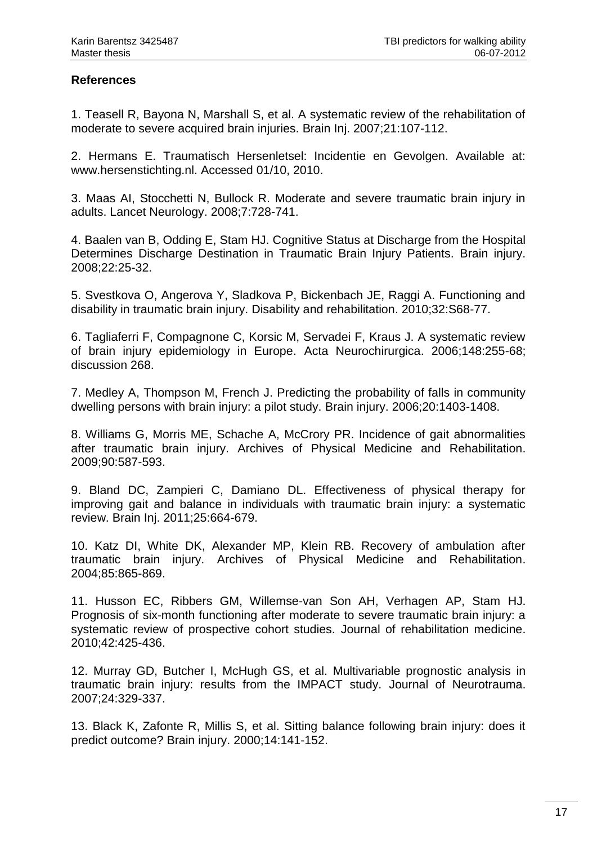## **References**

1. Teasell R, Bayona N, Marshall S, et al. A systematic review of the rehabilitation of moderate to severe acquired brain injuries. Brain Inj. 2007;21:107-112.

2. Hermans E. Traumatisch Hersenletsel: Incidentie en Gevolgen. Available at: [www.hersenstichting.nl.](http://www.hersenstichting.nl/) Accessed 01/10, 2010.

3. Maas AI, Stocchetti N, Bullock R. Moderate and severe traumatic brain injury in adults. Lancet Neurology. 2008;7:728-741.

4. Baalen van B, Odding E, Stam HJ. Cognitive Status at Discharge from the Hospital Determines Discharge Destination in Traumatic Brain Injury Patients. Brain injury. 2008;22:25-32.

5. Svestkova O, Angerova Y, Sladkova P, Bickenbach JE, Raggi A. Functioning and disability in traumatic brain injury. Disability and rehabilitation. 2010;32:S68-77.

6. Tagliaferri F, Compagnone C, Korsic M, Servadei F, Kraus J. A systematic review of brain injury epidemiology in Europe. Acta Neurochirurgica. 2006;148:255-68; discussion 268.

7. Medley A, Thompson M, French J. Predicting the probability of falls in community dwelling persons with brain injury: a pilot study. Brain injury. 2006;20:1403-1408.

8. Williams G, Morris ME, Schache A, McCrory PR. Incidence of gait abnormalities after traumatic brain injury. Archives of Physical Medicine and Rehabilitation. 2009;90:587-593.

9. Bland DC, Zampieri C, Damiano DL. Effectiveness of physical therapy for improving gait and balance in individuals with traumatic brain injury: a systematic review. Brain Inj. 2011;25:664-679.

10. Katz DI, White DK, Alexander MP, Klein RB. Recovery of ambulation after traumatic brain injury. Archives of Physical Medicine and Rehabilitation. 2004;85:865-869.

11. Husson EC, Ribbers GM, Willemse-van Son AH, Verhagen AP, Stam HJ. Prognosis of six-month functioning after moderate to severe traumatic brain injury: a systematic review of prospective cohort studies. Journal of rehabilitation medicine. 2010;42:425-436.

12. Murray GD, Butcher I, McHugh GS, et al. Multivariable prognostic analysis in traumatic brain injury: results from the IMPACT study. Journal of Neurotrauma. 2007;24:329-337.

13. Black K, Zafonte R, Millis S, et al. Sitting balance following brain injury: does it predict outcome? Brain injury. 2000;14:141-152.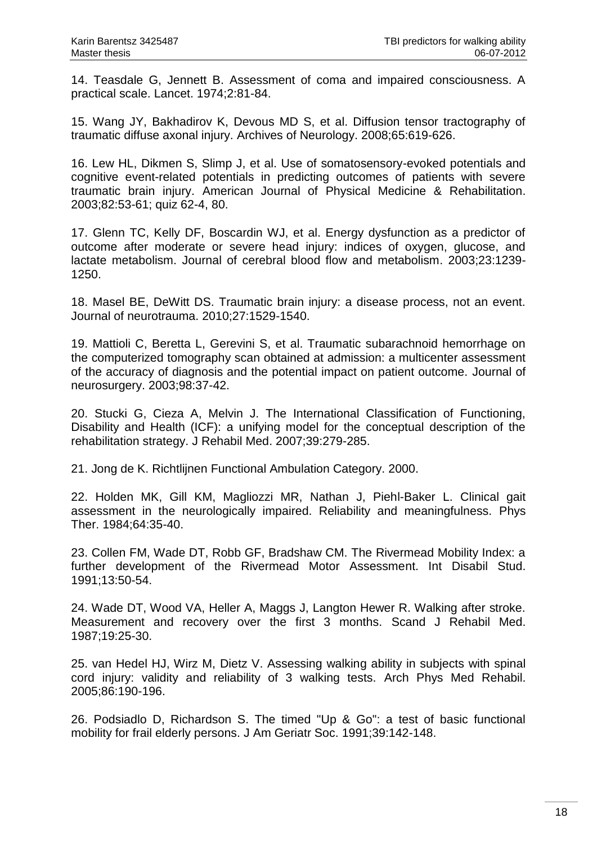14. Teasdale G, Jennett B. Assessment of coma and impaired consciousness. A practical scale. Lancet. 1974;2:81-84.

15. Wang JY, Bakhadirov K, Devous MD S, et al. Diffusion tensor tractography of traumatic diffuse axonal injury. Archives of Neurology. 2008;65:619-626.

16. Lew HL, Dikmen S, Slimp J, et al. Use of somatosensory-evoked potentials and cognitive event-related potentials in predicting outcomes of patients with severe traumatic brain injury. American Journal of Physical Medicine & Rehabilitation. 2003;82:53-61; quiz 62-4, 80.

17. Glenn TC, Kelly DF, Boscardin WJ, et al. Energy dysfunction as a predictor of outcome after moderate or severe head injury: indices of oxygen, glucose, and lactate metabolism. Journal of cerebral blood flow and metabolism. 2003;23:1239- 1250.

18. Masel BE, DeWitt DS. Traumatic brain injury: a disease process, not an event. Journal of neurotrauma. 2010;27:1529-1540.

19. Mattioli C, Beretta L, Gerevini S, et al. Traumatic subarachnoid hemorrhage on the computerized tomography scan obtained at admission: a multicenter assessment of the accuracy of diagnosis and the potential impact on patient outcome. Journal of neurosurgery. 2003;98:37-42.

20. Stucki G, Cieza A, Melvin J. The International Classification of Functioning, Disability and Health (ICF): a unifying model for the conceptual description of the rehabilitation strategy. J Rehabil Med. 2007;39:279-285.

21. Jong de K. Richtlijnen Functional Ambulation Category. 2000.

22. Holden MK, Gill KM, Magliozzi MR, Nathan J, Piehl-Baker L. Clinical gait assessment in the neurologically impaired. Reliability and meaningfulness. Phys Ther. 1984;64:35-40.

23. Collen FM, Wade DT, Robb GF, Bradshaw CM. The Rivermead Mobility Index: a further development of the Rivermead Motor Assessment. Int Disabil Stud. 1991;13:50-54.

24. Wade DT, Wood VA, Heller A, Maggs J, Langton Hewer R. Walking after stroke. Measurement and recovery over the first 3 months. Scand J Rehabil Med. 1987;19:25-30.

25. van Hedel HJ, Wirz M, Dietz V. Assessing walking ability in subjects with spinal cord injury: validity and reliability of 3 walking tests. Arch Phys Med Rehabil. 2005;86:190-196.

26. Podsiadlo D, Richardson S. The timed "Up & Go": a test of basic functional mobility for frail elderly persons. J Am Geriatr Soc. 1991;39:142-148.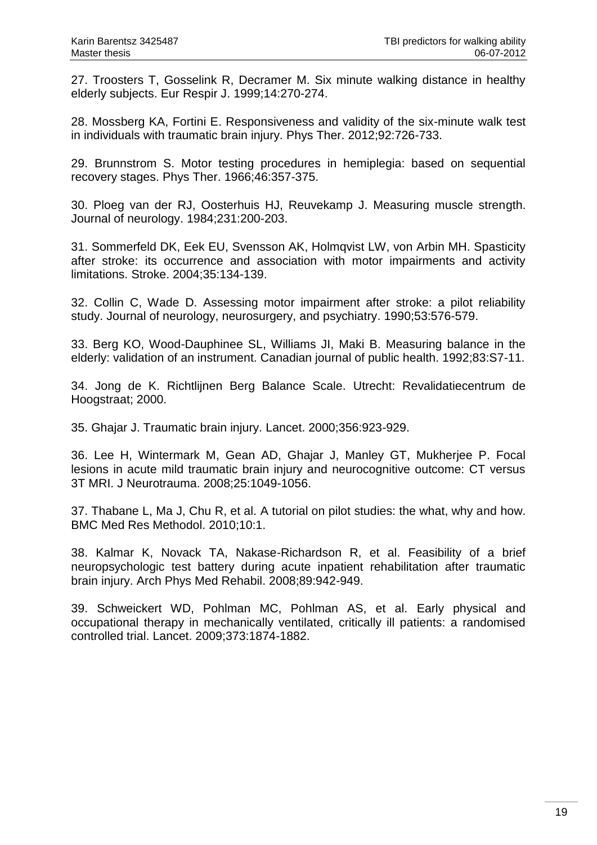27. Troosters T, Gosselink R, Decramer M. Six minute walking distance in healthy elderly subjects. Eur Respir J. 1999;14:270-274.

28. Mossberg KA, Fortini E. Responsiveness and validity of the six-minute walk test in individuals with traumatic brain injury. Phys Ther. 2012;92:726-733.

29. Brunnstrom S. Motor testing procedures in hemiplegia: based on sequential recovery stages. Phys Ther. 1966;46:357-375.

30. Ploeg van der RJ, Oosterhuis HJ, Reuvekamp J. Measuring muscle strength. Journal of neurology. 1984;231:200-203.

31. Sommerfeld DK, Eek EU, Svensson AK, Holmqvist LW, von Arbin MH. Spasticity after stroke: its occurrence and association with motor impairments and activity limitations. Stroke. 2004;35:134-139.

32. Collin C, Wade D. Assessing motor impairment after stroke: a pilot reliability study. Journal of neurology, neurosurgery, and psychiatry. 1990;53:576-579.

33. Berg KO, Wood-Dauphinee SL, Williams JI, Maki B. Measuring balance in the elderly: validation of an instrument. Canadian journal of public health. 1992;83:S7-11.

34. Jong de K. Richtlijnen Berg Balance Scale. Utrecht: Revalidatiecentrum de Hoogstraat; 2000.

35. Ghajar J. Traumatic brain injury. Lancet. 2000;356:923-929.

36. Lee H, Wintermark M, Gean AD, Ghajar J, Manley GT, Mukherjee P. Focal lesions in acute mild traumatic brain injury and neurocognitive outcome: CT versus 3T MRI. J Neurotrauma. 2008;25:1049-1056.

37. Thabane L, Ma J, Chu R, et al. A tutorial on pilot studies: the what, why and how. BMC Med Res Methodol. 2010;10:1.

38. Kalmar K, Novack TA, Nakase-Richardson R, et al. Feasibility of a brief neuropsychologic test battery during acute inpatient rehabilitation after traumatic brain injury. Arch Phys Med Rehabil. 2008;89:942-949.

39. Schweickert WD, Pohlman MC, Pohlman AS, et al. Early physical and occupational therapy in mechanically ventilated, critically ill patients: a randomised controlled trial. Lancet. 2009;373:1874-1882.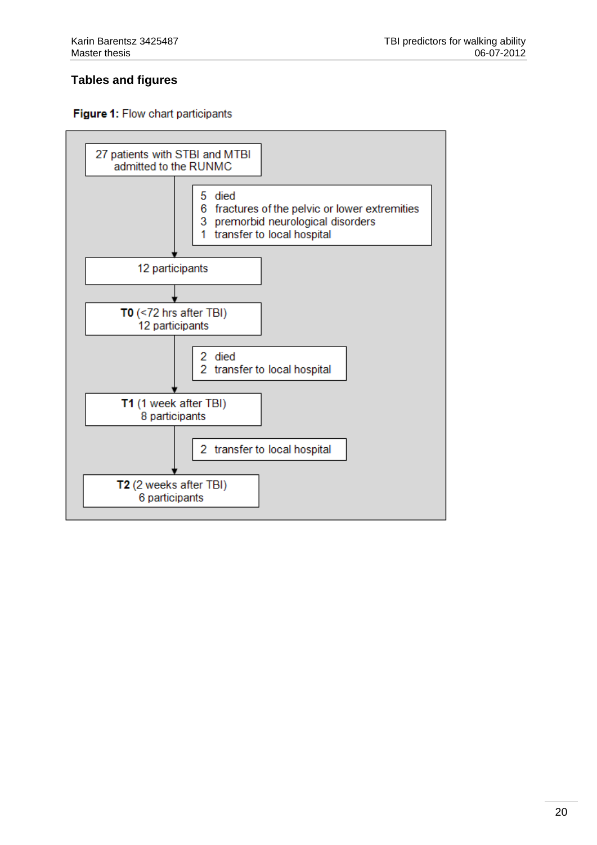# **Tables and figures**



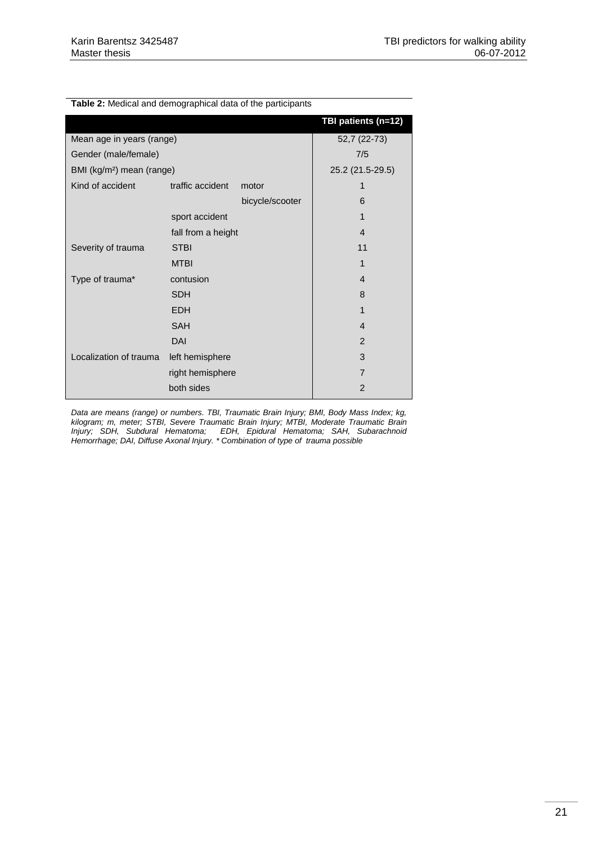| <b>Table 2:</b> Medical and demographical data of the participants |                    |                 |                     |
|--------------------------------------------------------------------|--------------------|-----------------|---------------------|
|                                                                    |                    |                 | TBI patients (n=12) |
| Mean age in years (range)                                          |                    | 52,7 (22-73)    |                     |
| Gender (male/female)                                               | 7/5                |                 |                     |
| BMI (kg/m <sup>2</sup> ) mean (range)                              |                    |                 | 25.2 (21.5-29.5)    |
| Kind of accident                                                   | traffic accident   | motor           |                     |
|                                                                    |                    | bicycle/scooter | 6                   |
|                                                                    | sport accident     |                 | 1                   |
|                                                                    | fall from a height |                 | $\overline{4}$      |
| Severity of trauma                                                 | <b>STBI</b>        |                 | 11                  |
|                                                                    | <b>MTBI</b>        |                 | 1                   |
| Type of trauma*                                                    | contusion          |                 | $\overline{4}$      |
|                                                                    | <b>SDH</b>         |                 | 8                   |
|                                                                    | <b>EDH</b>         |                 | 1                   |
|                                                                    | <b>SAH</b>         |                 | $\overline{4}$      |
|                                                                    | DAI                |                 | 2                   |
| Localization of trauma                                             | left hemisphere    |                 | 3                   |
|                                                                    | right hemisphere   |                 | $\overline{7}$      |
|                                                                    | both sides         |                 | $\overline{2}$      |
|                                                                    |                    |                 |                     |

**Table 2:** Medical and demographical data of the participants

*Data are means (range) or numbers. TBI, Traumatic Brain Injury; BMI, Body Mass Index; kg, kilogram; m, meter; STBI, Severe Traumatic Brain Injury; MTBI, Moderate Traumatic Brain Injury; SDH, Subdural Hematoma; EDH, Epidural Hematoma; SAH, Subarachnoid Hemorrhage; DAI, Diffuse Axonal Injury. \* Combination of type of trauma possible*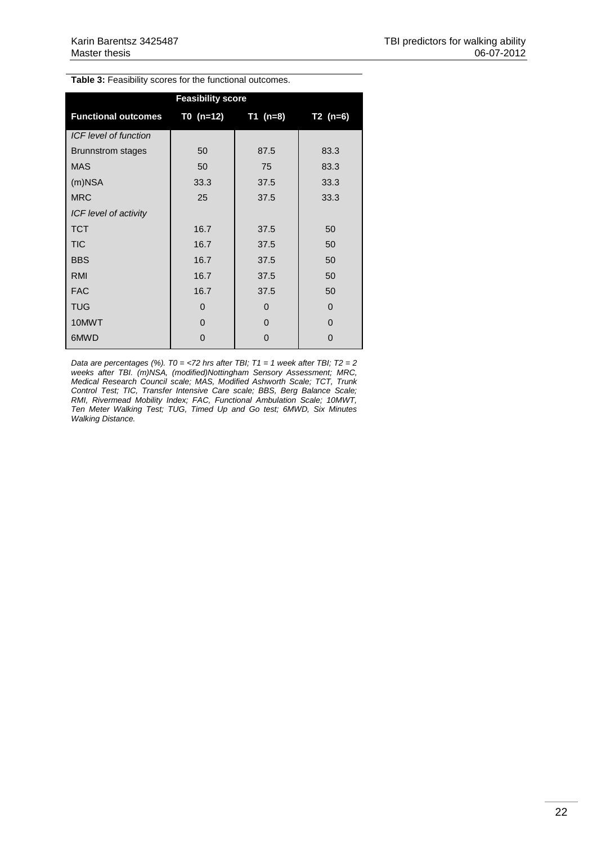**Table 3:** Feasibility scores for the functional outcomes.

| <b>Feasibility score</b>   |          |                        |            |  |  |  |  |  |  |  |
|----------------------------|----------|------------------------|------------|--|--|--|--|--|--|--|
| <b>Functional outcomes</b> |          | $T0$ (n=12) $T1$ (n=8) | $T2 (n=6)$ |  |  |  |  |  |  |  |
| ICF level of function      |          |                        |            |  |  |  |  |  |  |  |
| <b>Brunnstrom stages</b>   | 50       | 87.5                   | 83.3       |  |  |  |  |  |  |  |
| <b>MAS</b>                 | 50       | 75                     | 83.3       |  |  |  |  |  |  |  |
| $(m)$ NSA                  | 33.3     | 37.5                   | 33.3       |  |  |  |  |  |  |  |
| <b>MRC</b>                 | 25       | 37.5                   | 33.3       |  |  |  |  |  |  |  |
| ICF level of activity      |          |                        |            |  |  |  |  |  |  |  |
| <b>TCT</b>                 | 16.7     | 37.5                   | 50         |  |  |  |  |  |  |  |
| <b>TIC</b>                 | 16.7     | 37.5                   | 50         |  |  |  |  |  |  |  |
| <b>BBS</b>                 | 16.7     | 37.5                   | 50         |  |  |  |  |  |  |  |
| <b>RMI</b>                 | 16.7     | 37.5                   | 50         |  |  |  |  |  |  |  |
| <b>FAC</b>                 | 16.7     | 37.5                   | 50         |  |  |  |  |  |  |  |
| <b>TUG</b>                 | $\Omega$ | $\Omega$               | $\Omega$   |  |  |  |  |  |  |  |
| 10MWT                      | 0        | O                      | $\Omega$   |  |  |  |  |  |  |  |
| 6MWD                       | 0        | 0                      | $\Omega$   |  |  |  |  |  |  |  |

*Data are percentages (%). T0 = <72 hrs after TBI; T1 = 1 week after TBI; T2 = 2 weeks after TBI. (m)NSA, (modified)Nottingham Sensory Assessment; MRC, Medical Research Council scale; MAS, Modified Ashworth Scale; TCT, Trunk Control Test; TIC, Transfer Intensive Care scale; BBS, Berg Balance Scale; RMI, Rivermead Mobility Index; FAC, Functional Ambulation Scale; 10MWT, Ten Meter Walking Test; TUG, Timed Up and Go test; 6MWD, Six Minutes Walking Distance.*